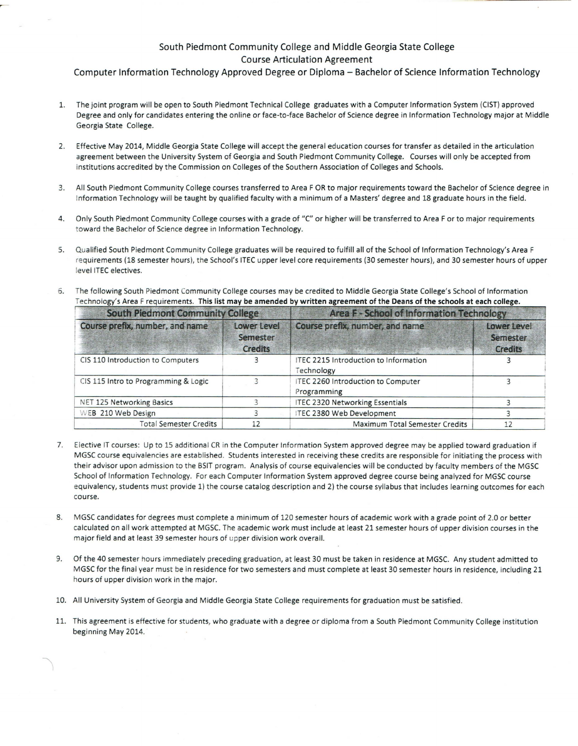## South Piedmont Community College and Middle Georgia State College Course Articulation Agreement

#### Computer Information Technology Approved Degree or Diploma- Bachelor of Science Information Technology

- 1. The joint program will be open to South Piedmont Technical College graduates with a Computer Information System (CIST) approved Degree and only for candidates entering the online or face-to-face Bachelor of Science degree in Information Technology major at Middle Georgia State College.
- 2. Effective May 2014, Middle Georgia State College will accept the general education courses for transfer as detailed in the articulation agreement between the University System of Georgia and South Piedmont Community College. Courses will only be accepted from institutions accredited by the Commission on Colleges of the Southern Association of Colleges and Schools.
- 3. All South Piedmont Community College courses transferred to Area FOR to major requirements toward the Bachelor of Science degree in Information Technology will be taught by qualified faculty with a minimum of a Masters' degree and 18 graduate hours in the field.
- 4. Only South Piedmont Community College courses with a grade of "C" or higher will be transferred to Area For to major requirements toward the Bachelor of Science degree in Information Technology.
- 5. Qualified South Piedmont Community College graduates will be required to fulfill all of the School of Information Technology's Area F requirements (18 semester hours), the School's ITEC upper level core requirements (30 semester hours), and 30 semester hours of upper level ITEC electives.
- 6. The following South Piedmont Community College courses may be credited to Middle Georgia State College's School of Information Technology's Area F requirements. This list may be amended by written agreement of the Deans of the schools at each college.

| <b>South Piedmont Community College</b> |                                           | Area F - School of Information Technology                          |                                           |
|-----------------------------------------|-------------------------------------------|--------------------------------------------------------------------|-------------------------------------------|
| Course prefix, number, and name.        | Lower Level<br>Semester<br><b>Credits</b> | Course prefix, number, and name<br><b>A PARTICIPAL AND INCOME.</b> | Lower Level<br>Semester<br><b>Credits</b> |
| CIS 110 Introduction to Computers       |                                           | <b>ITEC 2215 Introduction to Information</b><br>Technology         |                                           |
| CIS 115 Intro to Programming & Logic    |                                           | ITEC 2260 Introduction to Computer<br>Programming                  |                                           |
| NET 125 Networking Basics               |                                           | <b>ITEC 2320 Networking Essentials</b>                             |                                           |
| WEB 210 Web Design                      |                                           | <b>ITEC 2380 Web Development</b>                                   |                                           |
| <b>Total Semester Credits</b>           | 12                                        | Maximum Total Semester Credits                                     | 12                                        |

- 7. Elective IT courses: Up to 15 additional CR in the Computer Information System approved degree may be applied toward graduation if MGSC course equivalencies are established. Students interested in receiving these credits are responsible for initiating the process with their advisor upon admission to the BSIT program. Analysis of course equivalencies will be conducted by faculty members of the MGSC School of Information Technology. For each Computer Information System approved degree course being analyzed for MGSC course equivalency, students must provide 1) the course catalog description and 2) the course syllabus that includes learning outcomes for each course.
- 8. MGSC candidates for degrees must complete a minimum of 120 semester hours of academic work with a grade point of 2.0 or better calculated on all work attempted at MGSC. The academic work must include at least 21 semester hours of upper division courses in the major field and at least 39 semester hours of upper division work overall.
- 9. Of the 40 semester hours immediately preceding graduation, at least 30 must be taken in residence at MGSC. Any student admitted to MGSC for the final year must be in residence for two semesters and must complete at least 30 semester hours in residence, including 21 hours of upper division work in the major.
- 10. All University System of Georgia and Middle Georgia State College requirements for graduation must be satisfied.
- 11. This agreement is effective for students, who graduate with a degree or diploma from a South Piedmont Community College institution beginning May 2014.